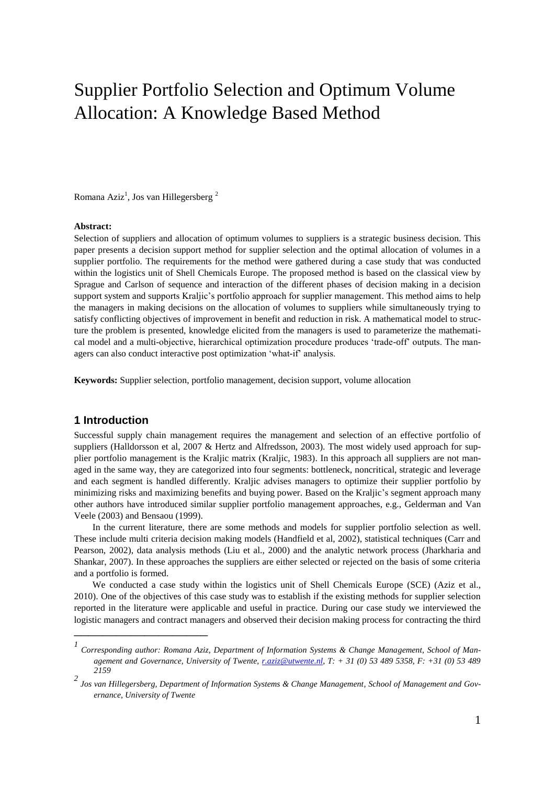# Supplier Portfolio Selection and Optimum Volume Allocation: A Knowledge Based Method

Romana Aziz<sup>1</sup>, Jos van Hillegersberg<sup>2</sup>

#### **Abstract:**

Selection of suppliers and allocation of optimum volumes to suppliers is a strategic business decision. This paper presents a decision support method for supplier selection and the optimal allocation of volumes in a supplier portfolio. The requirements for the method were gathered during a case study that was conducted within the logistics unit of Shell Chemicals Europe. The proposed method is based on the classical view by Sprague and Carlson of sequence and interaction of the different phases of decision making in a decision support system and supports Kraljic's portfolio approach for supplier management. This method aims to help the managers in making decisions on the allocation of volumes to suppliers while simultaneously trying to satisfy conflicting objectives of improvement in benefit and reduction in risk. A mathematical model to structure the problem is presented, knowledge elicited from the managers is used to parameterize the mathematical model and a multi-objective, hierarchical optimization procedure produces 'trade-off' outputs. The managers can also conduct interactive post optimization 'what-if' analysis.

**Keywords:** Supplier selection, portfolio management, decision support, volume allocation

## **1 Introduction**

Successful supply chain management requires the management and selection of an effective portfolio of suppliers (Halldorsson et al, 2007 & Hertz and Alfredsson, 2003). The most widely used approach for supplier portfolio management is the Kraljic matrix (Kraljic, 1983). In this approach all suppliers are not managed in the same way, they are categorized into four segments: bottleneck, noncritical, strategic and leverage and each segment is handled differently. Kraljic advises managers to optimize their supplier portfolio by minimizing risks and maximizing benefits and buying power. Based on the Kraljic's segment approach many other authors have introduced similar supplier portfolio management approaches, e.g., Gelderman and Van Veele (2003) and Bensaou (1999).

In the current literature, there are some methods and models for supplier portfolio selection as well. These include multi criteria decision making models (Handfield et al, 2002), statistical techniques (Carr and Pearson, 2002), data analysis methods (Liu et al., 2000) and the analytic network process (Jharkharia and Shankar, 2007). In these approaches the suppliers are either selected or rejected on the basis of some criteria and a portfolio is formed.

We conducted a case study within the logistics unit of Shell Chemicals Europe (SCE) (Aziz et al., 2010). One of the objectives of this case study was to establish if the existing methods for supplier selection reported in the literature were applicable and useful in practice. During our case study we interviewed the logistic managers and contract managers and observed their decision making process for contracting the third \_\_\_\_\_\_\_\_\_\_\_\_\_\_\_\_\_\_\_

*<sup>1</sup> Corresponding author: Romana Aziz, Department of Information Systems & Change Management, School of Management and Governance, University of Twente, [r.aziz@utwente.nl,](mailto:r.aziz@utwente.nl) T: + 31 (0) 53 489 5358, F: +31 (0) 53 489 2159*

*<sup>2</sup> Jos van Hillegersberg, Department of Information Systems & Change Management, School of Management and Governance, University of Twente*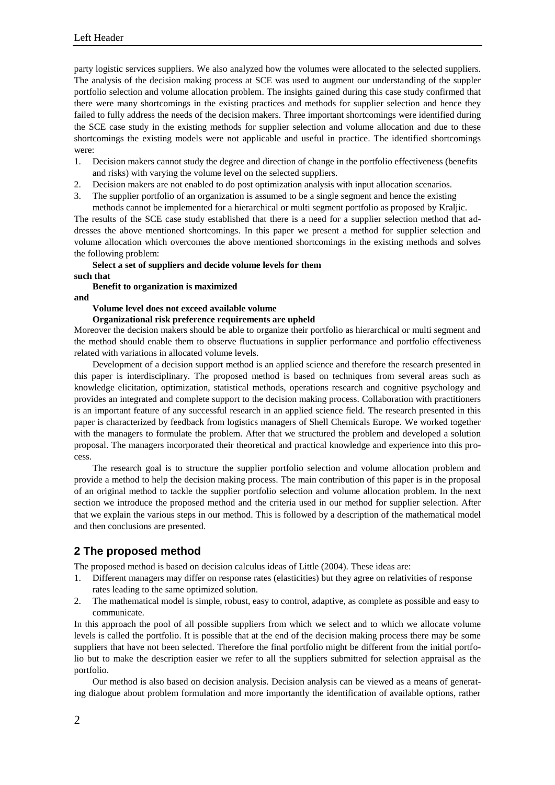party logistic services suppliers. We also analyzed how the volumes were allocated to the selected suppliers. The analysis of the decision making process at SCE was used to augment our understanding of the suppler portfolio selection and volume allocation problem. The insights gained during this case study confirmed that there were many shortcomings in the existing practices and methods for supplier selection and hence they failed to fully address the needs of the decision makers. Three important shortcomings were identified during the SCE case study in the existing methods for supplier selection and volume allocation and due to these shortcomings the existing models were not applicable and useful in practice. The identified shortcomings were:

- 1. Decision makers cannot study the degree and direction of change in the portfolio effectiveness (benefits and risks) with varying the volume level on the selected suppliers.
- 2. Decision makers are not enabled to do post optimization analysis with input allocation scenarios.
- 3. The supplier portfolio of an organization is assumed to be a single segment and hence the existing methods cannot be implemented for a hierarchical or multi segment portfolio as proposed by Kraljic.

The results of the SCE case study established that there is a need for a supplier selection method that addresses the above mentioned shortcomings. In this paper we present a method for supplier selection and volume allocation which overcomes the above mentioned shortcomings in the existing methods and solves the following problem:

# **Select a set of suppliers and decide volume levels for them**

**such that** 

## **Benefit to organization is maximized**

**and**

## **Volume level does not exceed available volume**

#### **Organizational risk preference requirements are upheld**

Moreover the decision makers should be able to organize their portfolio as hierarchical or multi segment and the method should enable them to observe fluctuations in supplier performance and portfolio effectiveness related with variations in allocated volume levels.

Development of a decision support method is an applied science and therefore the research presented in this paper is interdisciplinary. The proposed method is based on techniques from several areas such as knowledge elicitation, optimization, statistical methods, operations research and cognitive psychology and provides an integrated and complete support to the decision making process. Collaboration with practitioners is an important feature of any successful research in an applied science field. The research presented in this paper is characterized by feedback from logistics managers of Shell Chemicals Europe. We worked together with the managers to formulate the problem. After that we structured the problem and developed a solution proposal. The managers incorporated their theoretical and practical knowledge and experience into this process.

The research goal is to structure the supplier portfolio selection and volume allocation problem and provide a method to help the decision making process. The main contribution of this paper is in the proposal of an original method to tackle the supplier portfolio selection and volume allocation problem. In the next section we introduce the proposed method and the criteria used in our method for supplier selection. After that we explain the various steps in our method. This is followed by a description of the mathematical model and then conclusions are presented.

## **2 The proposed method**

The proposed method is based on decision calculus ideas of Little (2004). These ideas are:

- 1. Different managers may differ on response rates (elasticities) but they agree on relativities of response rates leading to the same optimized solution.
- 2. The mathematical model is simple, robust, easy to control, adaptive, as complete as possible and easy to communicate.

In this approach the pool of all possible suppliers from which we select and to which we allocate volume levels is called the portfolio. It is possible that at the end of the decision making process there may be some suppliers that have not been selected. Therefore the final portfolio might be different from the initial portfolio but to make the description easier we refer to all the suppliers submitted for selection appraisal as the portfolio.

Our method is also based on decision analysis. Decision analysis can be viewed as a means of generating dialogue about problem formulation and more importantly the identification of available options, rather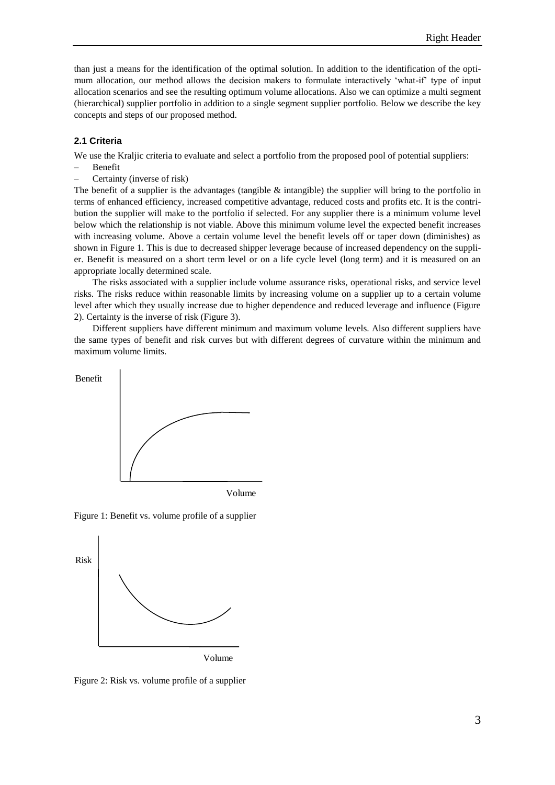than just a means for the identification of the optimal solution. In addition to the identification of the optimum allocation, our method allows the decision makers to formulate interactively 'what-if' type of input allocation scenarios and see the resulting optimum volume allocations. Also we can optimize a multi segment (hierarchical) supplier portfolio in addition to a single segment supplier portfolio. Below we describe the key concepts and steps of our proposed method.

#### **2.1 Criteria**

We use the Kraljic criteria to evaluate and select a portfolio from the proposed pool of potential suppliers:

- Benefit
- Certainty (inverse of risk)

The benefit of a supplier is the advantages (tangible  $\&$  intangible) the supplier will bring to the portfolio in terms of enhanced efficiency, increased competitive advantage, reduced costs and profits etc. It is the contribution the supplier will make to the portfolio if selected. For any supplier there is a minimum volume level below which the relationship is not viable. Above this minimum volume level the expected benefit increases with increasing volume. Above a certain volume level the benefit levels off or taper down (diminishes) as shown in Figure 1. This is due to decreased shipper leverage because of increased dependency on the supplier. Benefit is measured on a short term level or on a life cycle level (long term) and it is measured on an appropriate locally determined scale.

The risks associated with a supplier include volume assurance risks, operational risks, and service level risks. The risks reduce within reasonable limits by increasing volume on a supplier up to a certain volume level after which they usually increase due to higher dependence and reduced leverage and influence (Figure 2). Certainty is the inverse of risk (Figure 3).

Different suppliers have different minimum and maximum volume levels. Also different suppliers have the same types of benefit and risk curves but with different degrees of curvature within the minimum and maximum volume limits.



Volume

Figure 1: Benefit vs. volume profile of a supplier



Figure 2: Risk vs. volume profile of a supplier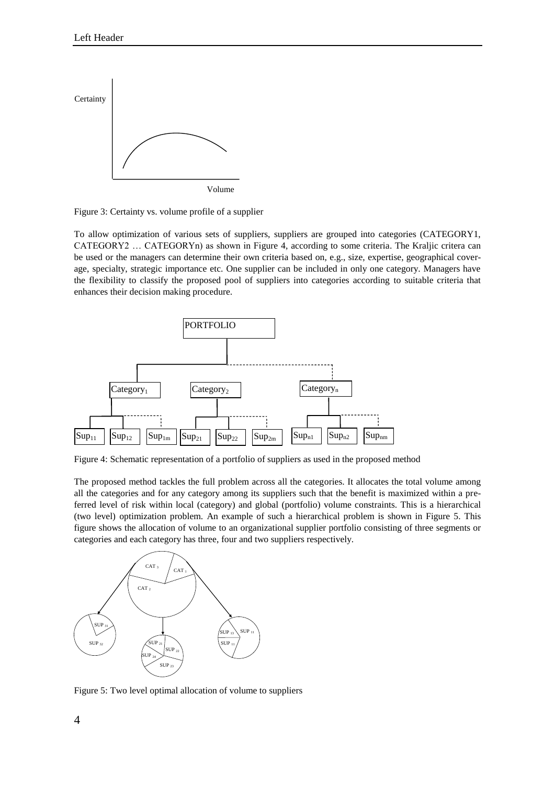



To allow optimization of various sets of suppliers, suppliers are grouped into categories (CATEGORY1, CATEGORY2 … CATEGORYn) as shown in Figure 4, according to some criteria. The Kraljic critera can be used or the managers can determine their own criteria based on, e.g., size, expertise, geographical coverage, specialty, strategic importance etc. One supplier can be included in only one category. Managers have the flexibility to classify the proposed pool of suppliers into categories according to suitable criteria that enhances their decision making procedure.



Figure 4: Schematic representation of a portfolio of suppliers as used in the proposed method

The proposed method tackles the full problem across all the categories. It allocates the total volume among all the categories and for any category among its suppliers such that the benefit is maximized within a preferred level of risk within local (category) and global (portfolio) volume constraints. This is a hierarchical (two level) optimization problem. An example of such a hierarchical problem is shown in Figure 5. This figure shows the allocation of volume to an organizational supplier portfolio consisting of three segments or categories and each category has three, four and two suppliers respectively.



Figure 5: Two level optimal allocation of volume to suppliers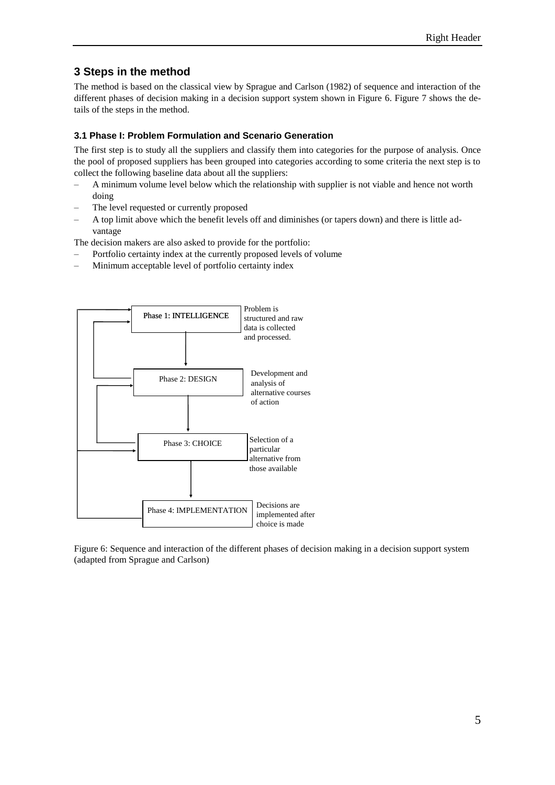# **3 Steps in the method**

The method is based on the classical view by Sprague and Carlson (1982) of sequence and interaction of the different phases of decision making in a decision support system shown in Figure 6. Figure 7 shows the details of the steps in the method.

## **3.1 Phase I: Problem Formulation and Scenario Generation**

The first step is to study all the suppliers and classify them into categories for the purpose of analysis. Once the pool of proposed suppliers has been grouped into categories according to some criteria the next step is to collect the following baseline data about all the suppliers:

- A minimum volume level below which the relationship with supplier is not viable and hence not worth doing
- The level requested or currently proposed
- A top limit above which the benefit levels off and diminishes (or tapers down) and there is little advantage

The decision makers are also asked to provide for the portfolio:

- Portfolio certainty index at the currently proposed levels of volume
- Minimum acceptable level of portfolio certainty index



Figure 6: Sequence and interaction of the different phases of decision making in a decision support system (adapted from Sprague and Carlson)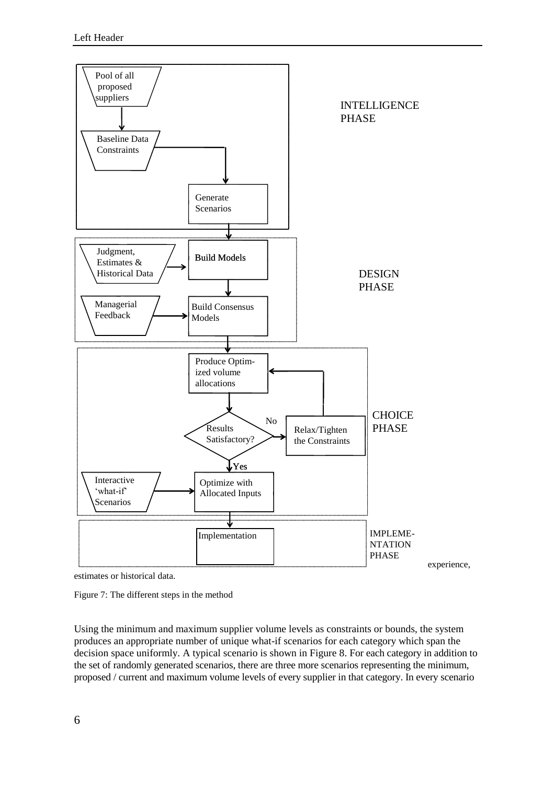

estimates or historical data.

Figure 7: The different steps in the method

Using the minimum and maximum supplier volume levels as constraints or bounds, the system produces an appropriate number of unique what-if scenarios for each category which span the decision space uniformly. A typical scenario is shown in Figure 8. For each category in addition to the set of randomly generated scenarios, there are three more scenarios representing the minimum, proposed / current and maximum volume levels of every supplier in that category. In every scenario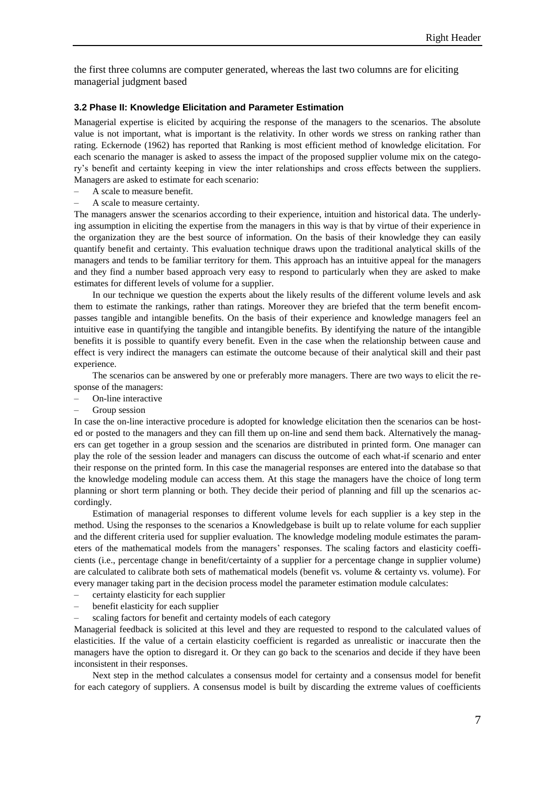the first three columns are computer generated, whereas the last two columns are for eliciting managerial judgment based

#### **3.2 Phase II: Knowledge Elicitation and Parameter Estimation**

Managerial expertise is elicited by acquiring the response of the managers to the scenarios. The absolute value is not important, what is important is the relativity. In other words we stress on ranking rather than rating. Eckernode (1962) has reported that Ranking is most efficient method of knowledge elicitation. For each scenario the manager is asked to assess the impact of the proposed supplier volume mix on the category's benefit and certainty keeping in view the inter relationships and cross effects between the suppliers. Managers are asked to estimate for each scenario:

- A scale to measure benefit.
- A scale to measure certainty.

The managers answer the scenarios according to their experience, intuition and historical data. The underlying assumption in eliciting the expertise from the managers in this way is that by virtue of their experience in the organization they are the best source of information. On the basis of their knowledge they can easily quantify benefit and certainty. This evaluation technique draws upon the traditional analytical skills of the managers and tends to be familiar territory for them. This approach has an intuitive appeal for the managers and they find a number based approach very easy to respond to particularly when they are asked to make estimates for different levels of volume for a supplier.

In our technique we question the experts about the likely results of the different volume levels and ask them to estimate the rankings, rather than ratings. Moreover they are briefed that the term benefit encompasses tangible and intangible benefits. On the basis of their experience and knowledge managers feel an intuitive ease in quantifying the tangible and intangible benefits. By identifying the nature of the intangible benefits it is possible to quantify every benefit. Even in the case when the relationship between cause and effect is very indirect the managers can estimate the outcome because of their analytical skill and their past experience.

The scenarios can be answered by one or preferably more managers. There are two ways to elicit the response of the managers:

- On-line interactive
- Group session

In case the on-line interactive procedure is adopted for knowledge elicitation then the scenarios can be hosted or posted to the managers and they can fill them up on-line and send them back. Alternatively the managers can get together in a group session and the scenarios are distributed in printed form. One manager can play the role of the session leader and managers can discuss the outcome of each what-if scenario and enter their response on the printed form. In this case the managerial responses are entered into the database so that the knowledge modeling module can access them. At this stage the managers have the choice of long term planning or short term planning or both. They decide their period of planning and fill up the scenarios accordingly.

Estimation of managerial responses to different volume levels for each supplier is a key step in the method. Using the responses to the scenarios a Knowledgebase is built up to relate volume for each supplier and the different criteria used for supplier evaluation. The knowledge modeling module estimates the parameters of the mathematical models from the managers' responses. The scaling factors and elasticity coefficients (i.e., percentage change in benefit/certainty of a supplier for a percentage change in supplier volume) are calculated to calibrate both sets of mathematical models (benefit vs. volume & certainty vs. volume). For every manager taking part in the decision process model the parameter estimation module calculates:

- certainty elasticity for each supplier
- benefit elasticity for each supplier
- scaling factors for benefit and certainty models of each category

Managerial feedback is solicited at this level and they are requested to respond to the calculated values of elasticities. If the value of a certain elasticity coefficient is regarded as unrealistic or inaccurate then the managers have the option to disregard it. Or they can go back to the scenarios and decide if they have been inconsistent in their responses.

Next step in the method calculates a consensus model for certainty and a consensus model for benefit for each category of suppliers. A consensus model is built by discarding the extreme values of coefficients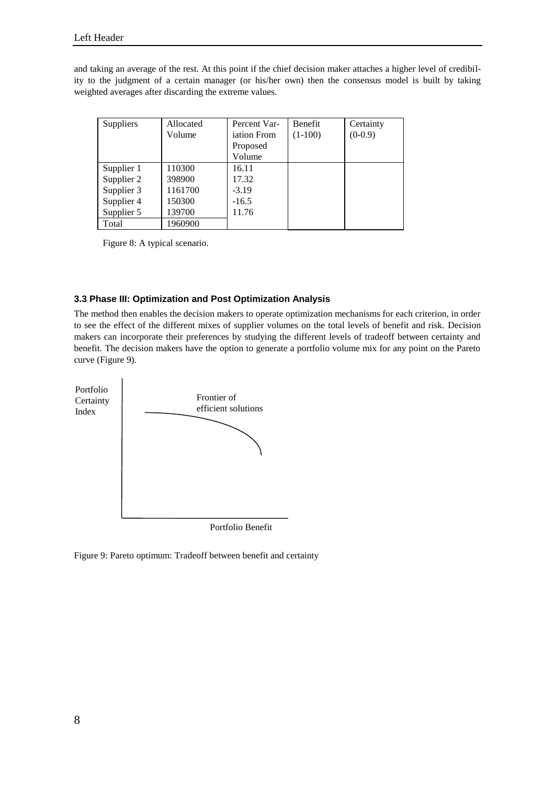and taking an average of the rest. At this point if the chief decision maker attaches a higher level of credibility to the judgment of a certain manager (or his/her own) then the consensus model is built by taking weighted averages after discarding the extreme values.

| Suppliers  | Allocated | Percent Var-       | <b>Benefit</b> | Certainty |
|------------|-----------|--------------------|----------------|-----------|
|            | Volume    | <i>iation</i> From | $(1-100)$      | $(0-0.9)$ |
|            |           | Proposed           |                |           |
|            |           | Volume             |                |           |
| Supplier 1 | 110300    | 16.11              |                |           |
| Supplier 2 | 398900    | 17.32              |                |           |
| Supplier 3 | 1161700   | $-3.19$            |                |           |
| Supplier 4 | 150300    | $-16.5$            |                |           |
| Supplier 5 | 139700    | 11.76              |                |           |
| Total      | 1960900   |                    |                |           |

Figure 8: A typical scenario.

## **3.3 Phase III: Optimization and Post Optimization Analysis**

The method then enables the decision makers to operate optimization mechanisms for each criterion, in order to see the effect of the different mixes of supplier volumes on the total levels of benefit and risk. Decision makers can incorporate their preferences by studying the different levels of tradeoff between certainty and benefit. The decision makers have the option to generate a portfolio volume mix for any point on the Pareto curve (Figure 9).



Figure 9: Pareto optimum: Tradeoff between benefit and certainty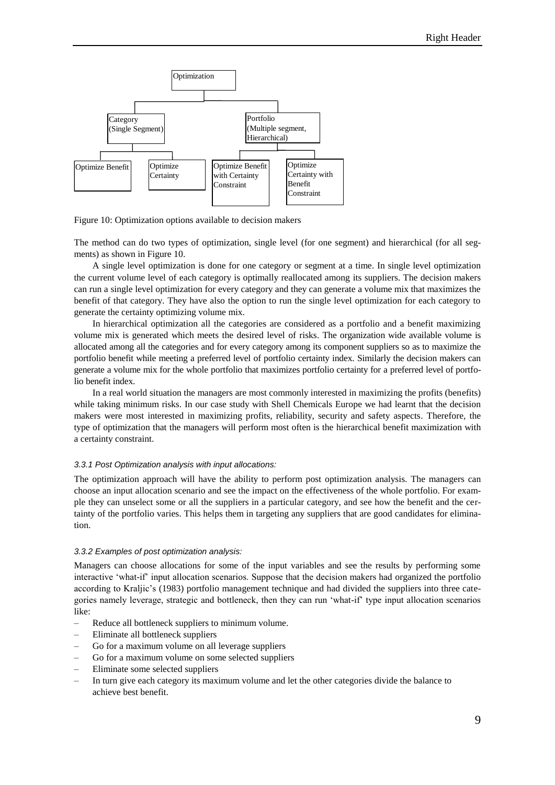

Figure 10: Optimization options available to decision makers

The method can do two types of optimization, single level (for one segment) and hierarchical (for all segments) as shown in Figure 10.

A single level optimization is done for one category or segment at a time. In single level optimization the current volume level of each category is optimally reallocated among its suppliers. The decision makers can run a single level optimization for every category and they can generate a volume mix that maximizes the benefit of that category. They have also the option to run the single level optimization for each category to generate the certainty optimizing volume mix.

In hierarchical optimization all the categories are considered as a portfolio and a benefit maximizing volume mix is generated which meets the desired level of risks. The organization wide available volume is allocated among all the categories and for every category among its component suppliers so as to maximize the portfolio benefit while meeting a preferred level of portfolio certainty index. Similarly the decision makers can generate a volume mix for the whole portfolio that maximizes portfolio certainty for a preferred level of portfolio benefit index.

In a real world situation the managers are most commonly interested in maximizing the profits (benefits) while taking minimum risks. In our case study with Shell Chemicals Europe we had learnt that the decision makers were most interested in maximizing profits, reliability, security and safety aspects. Therefore, the type of optimization that the managers will perform most often is the hierarchical benefit maximization with a certainty constraint.

#### *3.3.1 Post Optimization analysis with input allocations:*

The optimization approach will have the ability to perform post optimization analysis. The managers can choose an input allocation scenario and see the impact on the effectiveness of the whole portfolio. For example they can unselect some or all the suppliers in a particular category, and see how the benefit and the certainty of the portfolio varies. This helps them in targeting any suppliers that are good candidates for elimination.

#### *3.3.2 Examples of post optimization analysis:*

Managers can choose allocations for some of the input variables and see the results by performing some interactive 'what-if' input allocation scenarios. Suppose that the decision makers had organized the portfolio according to Kraljic's (1983) portfolio management technique and had divided the suppliers into three categories namely leverage, strategic and bottleneck, then they can run 'what-if' type input allocation scenarios like:

- Reduce all bottleneck suppliers to minimum volume.
- Eliminate all bottleneck suppliers
- Go for a maximum volume on all leverage suppliers
- Go for a maximum volume on some selected suppliers
- Eliminate some selected suppliers
- In turn give each category its maximum volume and let the other categories divide the balance to achieve best benefit.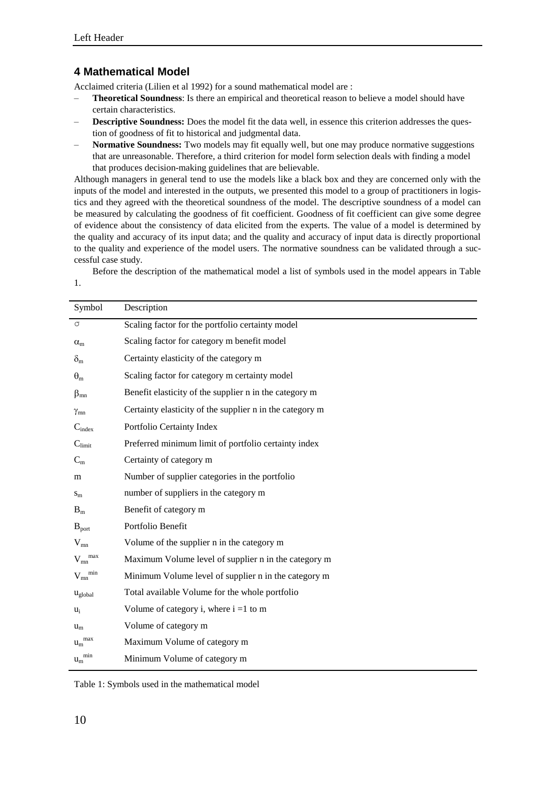# **4 Mathematical Model**

Acclaimed criteria (Lilien et al 1992) for a sound mathematical model are :

- **Theoretical Soundness**: Is there an empirical and theoretical reason to believe a model should have certain characteristics.
- **Descriptive Soundness:** Does the model fit the data well, in essence this criterion addresses the question of goodness of fit to historical and judgmental data.
- **Normative Soundness:** Two models may fit equally well, but one may produce normative suggestions that are unreasonable. Therefore, a third criterion for model form selection deals with finding a model that produces decision-making guidelines that are believable.

Although managers in general tend to use the models like a black box and they are concerned only with the inputs of the model and interested in the outputs, we presented this model to a group of practitioners in logistics and they agreed with the theoretical soundness of the model. The descriptive soundness of a model can be measured by calculating the goodness of fit coefficient. Goodness of fit coefficient can give some degree of evidence about the consistency of data elicited from the experts. The value of a model is determined by the quality and accuracy of its input data; and the quality and accuracy of input data is directly proportional to the quality and experience of the model users. The normative soundness can be validated through a successful case study.

Before the description of the mathematical model a list of symbols used in the model appears in Table

1.

| Symbol                        | Description                                              |  |
|-------------------------------|----------------------------------------------------------|--|
| $\sigma$                      | Scaling factor for the portfolio certainty model         |  |
| $\alpha_{m}$                  | Scaling factor for category m benefit model              |  |
| $\delta_{m}$                  | Certainty elasticity of the category m                   |  |
| $\theta_{m}$                  | Scaling factor for category m certainty model            |  |
| $\beta_{mn}$                  | Benefit elasticity of the supplier n in the category m   |  |
| $\gamma_{mn}$                 | Certainty elasticity of the supplier n in the category m |  |
| $C_{index}$                   | Portfolio Certainty Index                                |  |
| $C_{\text{limit}}$            | Preferred minimum limit of portfolio certainty index     |  |
| $C_m$                         | Certainty of category m                                  |  |
| m                             | Number of supplier categories in the portfolio           |  |
| $S_{m}$                       | number of suppliers in the category m                    |  |
| $B_m$                         | Benefit of category m                                    |  |
| $B_{\text{port}}$             | Portfolio Benefit                                        |  |
| $V_{mn}$                      | Volume of the supplier n in the category m               |  |
| $V_{mn}^{max}$                | Maximum Volume level of supplier n in the category m     |  |
| $V_{mn}^{min}$                | Minimum Volume level of supplier n in the category m     |  |
| $u_{\text{global}}$           | Total available Volume for the whole portfolio           |  |
| $u_i$                         | Volume of category i, where $i = 1$ to m                 |  |
| $u_m$                         | Volume of category m                                     |  |
| $u_m$ <sup>max</sup>          | Maximum Volume of category m                             |  |
| ${{\bf u}_{\rm m}}^{\rm min}$ | Minimum Volume of category m                             |  |

Table 1: Symbols used in the mathematical model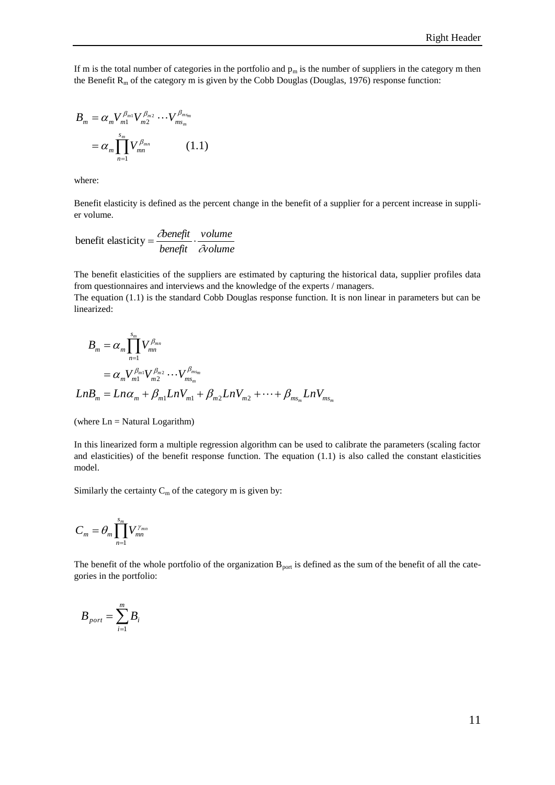If m is the total number of categories in the portfolio and  $p_m$  is the number of suppliers in the category m then the Benefit  $R_m$  of the category m is given by the Cobb Douglas (Douglas, 1976) response function:

$$
B_{m} = \alpha_{m} V_{m1}^{\beta_{m1}} V_{m2}^{\beta_{m2}} \cdots V_{ms_{m}}^{\beta_{ms_{m}}}
$$
  
=  $\alpha_{m} \prod_{n=1}^{s_{m}} V_{mn}^{\beta_{mn}}$  (1.1)

where:

Benefit elasticity is defined as the percent change in the benefit of a supplier for a percent increase in supplier volume.

$$
benefit elasticity = \frac{\partial onefit}{beneft} \cdot \frac{volume}{\partial volume}
$$

The benefit elasticities of the suppliers are estimated by capturing the historical data, supplier profiles data from questionnaires and interviews and the knowledge of the experts / managers.

The equation (1.1) is the standard Cobb Douglas response function. It is non linear in parameters but can be linearized:

$$
B_{m} = \alpha_{m} \prod_{n=1}^{s_{m}} V_{mn}^{\beta_{mn}}
$$
  
=  $\alpha_{m} V_{m1}^{\beta_{m1}} V_{m2}^{\beta_{m2}} \cdots V_{ms_{m}}^{\beta_{ms_{m}}}$   

$$
LnB_{m} = Ln\alpha_{m} + \beta_{m1} LnV_{m1} + \beta_{m2} LnV_{m2} + \cdots + \beta_{ms_{m}} LnV_{ms_{m}}
$$

(where Ln = Natural Logarithm)

In this linearized form a multiple regression algorithm can be used to calibrate the parameters (scaling factor and elasticities) of the benefit response function. The equation (1.1) is also called the constant elasticities model.

Similarly the certainty  $C_m$  of the category m is given by:

$$
C_m = \theta_m \prod_{n=1}^{s_m} V_{mn}^{\gamma_{mn}}
$$

The benefit of the whole portfolio of the organization  $B_{\text{port}}$  is defined as the sum of the benefit of all the categories in the portfolio:

$$
B_{\text{port}} = \sum_{i=1}^{m} B_i
$$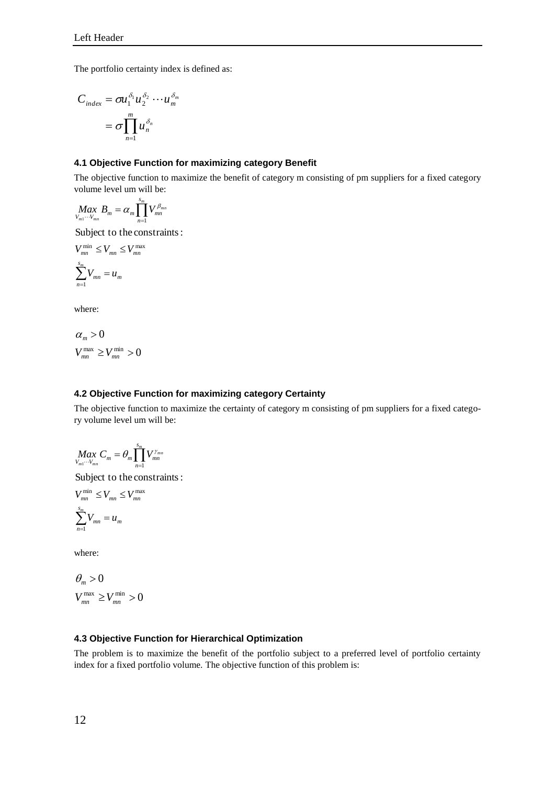The portfolio certainty index is defined as:

$$
C_{index} = \sigma u_1^{\delta_1} u_2^{\delta_2} \cdots u_m^{\delta_m}
$$

$$
= \sigma \prod_{n=1}^m u_n^{\delta_n}
$$

## **4.1 Objective Function for maximizing category Benefit**

The objective function to maximize the benefit of category m consisting of pm suppliers for a fixed category volume level um will be:

$$
\underset{V_{m1}\cdots V_{mn}}{Max}B_m = \alpha_m \prod_{n=1}^{s_m} V_{mn}^{\beta_{mn}}
$$

Subject to the constraints:

$$
V_{mn}^{\min} \le V_{mn} \le V_{mn}^{\max}
$$

$$
\sum_{n=1}^{s_m} V_{mn} = u_m
$$

where:

$$
\begin{aligned} & \alpha_m > 0 \\ & V_{mn}^{\max} \ge V_{mn}^{\min} > 0 \end{aligned}
$$

### **4.2 Objective Function for maximizing category Certainty**

The objective function to maximize the certainty of category m consisting of pm suppliers for a fixed category volume level um will be:

$$
\underset{V_{m1}\cdots V_{mn}}{Max}C_m = \theta_m \prod_{n=1}^{s_m} V_{mn}^{\gamma_{mn}}
$$

Subject to the constraints:

$$
V_{mn}^{\min} \le V_{mn} \le V_{mn}^{\max}
$$

$$
\sum_{n=1}^{s_m} V_{mn} = u_m
$$

where:

$$
\begin{aligned} \theta_m > 0\\ V_{mn}^{\max} > V_{mn}^{\min} > 0 \end{aligned}
$$

## **4.3 Objective Function for Hierarchical Optimization**

The problem is to maximize the benefit of the portfolio subject to a preferred level of portfolio certainty index for a fixed portfolio volume. The objective function of this problem is: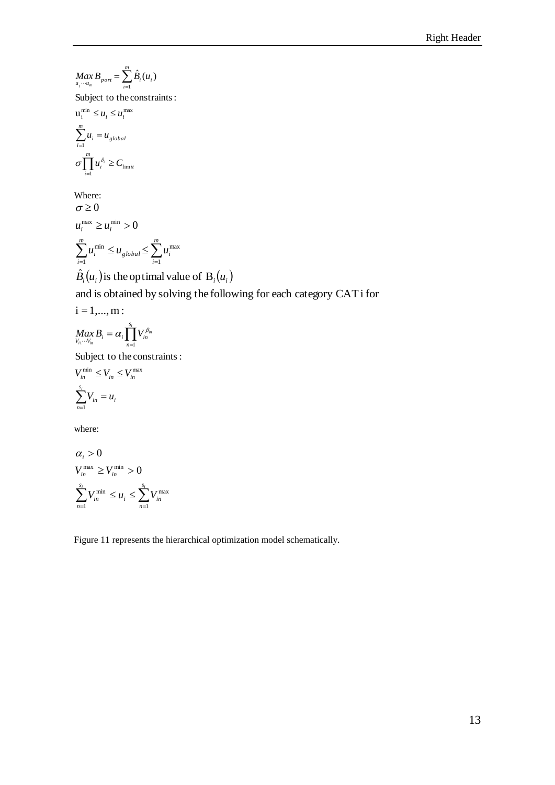$$
Max_{u_1\cdots u_m} B_{port} = \sum_{i=1}^m \hat{B}_i(u_i)
$$

Subject to the constraints:

$$
u_i^{\min} \le u_i \le u_i^{\max}
$$

$$
\sum_{i=1}^m u_i = u_{global}
$$

$$
\sigma \prod_{i=1}^m u_i^{\delta_i} \ge C_{limit}
$$

Where:  $\sum_{i=1}^{m} u_i^{\min} \leq u_{global} \leq \sum_{i=1}^{m}$  $u_i^{\max} \geq u_i^{\min} > 0$  $\sigma \geq 0$ *i*  $_{global} - \_ u_i$ *m i*  $u_i^{\text{min}} \leq u_{global} \leq \sum u_i^{\text{min}}$ 1 max 1 min

$$
\hat{B}_i(u_i)
$$
 is the optimal value of  $B_i(u_i)$ 

and is obtained by solving the following for each category CATi for

$$
i = 1, \dots, m:
$$
  

$$
Max_{V_{i1}\cdots V_{in}} B_i = \alpha_i \prod_{n=1}^{s_i} V_{in}^{\beta_n}
$$

Subject to the constraints:

$$
V_{in}^{\min} \le V_{in} \le V_{in}^{\max}
$$

$$
\sum_{n=1}^{s_i} V_{in} = u_i
$$

where:

$$
\alpha_i > 0
$$
  
\n
$$
V_{in}^{\max} \ge V_{in}^{\min} > 0
$$
  
\n
$$
\sum_{n=1}^{s_i} V_{in}^{\min} \le u_i \le \sum_{n=1}^{s_i} V_{in}^{\max}
$$

Figure 11 represents the hierarchical optimization model schematically.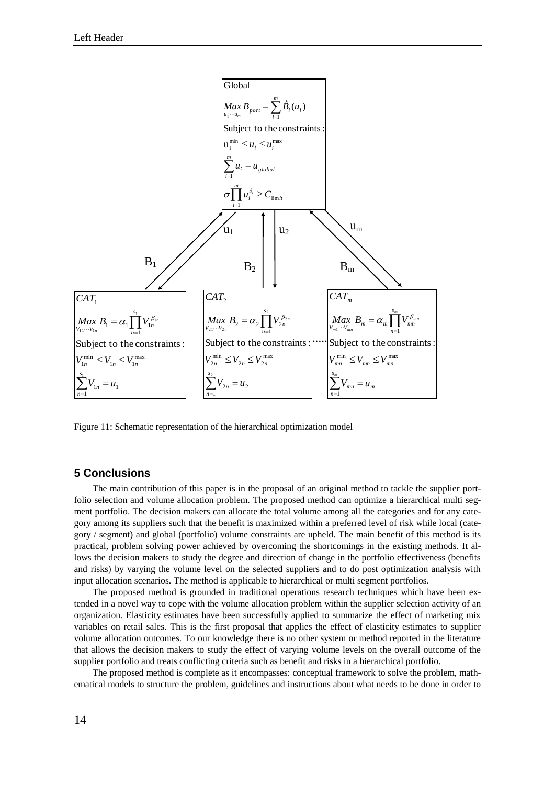

Figure 11: Schematic representation of the hierarchical optimization model

## **5 Conclusions**

The main contribution of this paper is in the proposal of an original method to tackle the supplier portfolio selection and volume allocation problem. The proposed method can optimize a hierarchical multi segment portfolio. The decision makers can allocate the total volume among all the categories and for any category among its suppliers such that the benefit is maximized within a preferred level of risk while local (category / segment) and global (portfolio) volume constraints are upheld. The main benefit of this method is its practical, problem solving power achieved by overcoming the shortcomings in the existing methods. It allows the decision makers to study the degree and direction of change in the portfolio effectiveness (benefits and risks) by varying the volume level on the selected suppliers and to do post optimization analysis with input allocation scenarios. The method is applicable to hierarchical or multi segment portfolios.

The proposed method is grounded in traditional operations research techniques which have been extended in a novel way to cope with the volume allocation problem within the supplier selection activity of an organization. Elasticity estimates have been successfully applied to summarize the effect of marketing mix variables on retail sales. This is the first proposal that applies the effect of elasticity estimates to supplier volume allocation outcomes. To our knowledge there is no other system or method reported in the literature that allows the decision makers to study the effect of varying volume levels on the overall outcome of the supplier portfolio and treats conflicting criteria such as benefit and risks in a hierarchical portfolio.

The proposed method is complete as it encompasses: conceptual framework to solve the problem, mathematical models to structure the problem, guidelines and instructions about what needs to be done in order to